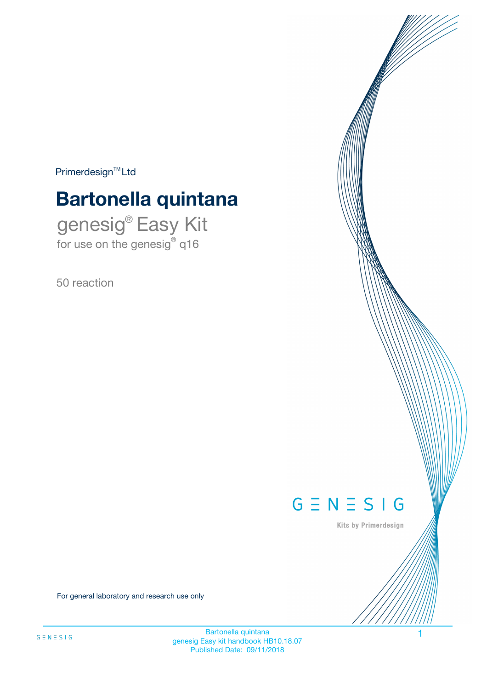$Primerdesign^{\text{TM}}Ltd$ 

# **Bartonella quintana**

genesig® Easy Kit for use on the genesig® q16

50 reaction



Kits by Primerdesign

For general laboratory and research use only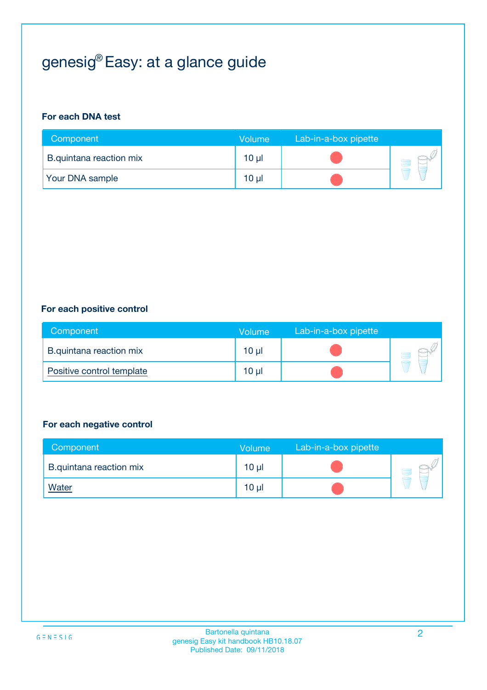# genesig® Easy: at a glance guide

#### **For each DNA test**

| Component               | <b>Volume</b> | Lab-in-a-box pipette |  |
|-------------------------|---------------|----------------------|--|
| B.quintana reaction mix | 10 µl         |                      |  |
| <b>Your DNA sample</b>  | 10 µl         |                      |  |

#### **For each positive control**

| Component                 | Volume   | Lab-in-a-box pipette |  |
|---------------------------|----------|----------------------|--|
| B.quintana reaction mix   | $10 \mu$ |                      |  |
| Positive control template | $10 \mu$ |                      |  |

#### **For each negative control**

| Component               | <b>Volume</b>   | Lab-in-a-box pipette |  |
|-------------------------|-----------------|----------------------|--|
| B.quintana reaction mix | 10 <sub>µ</sub> |                      |  |
| <u>Water</u>            | 10 <sub>µ</sub> |                      |  |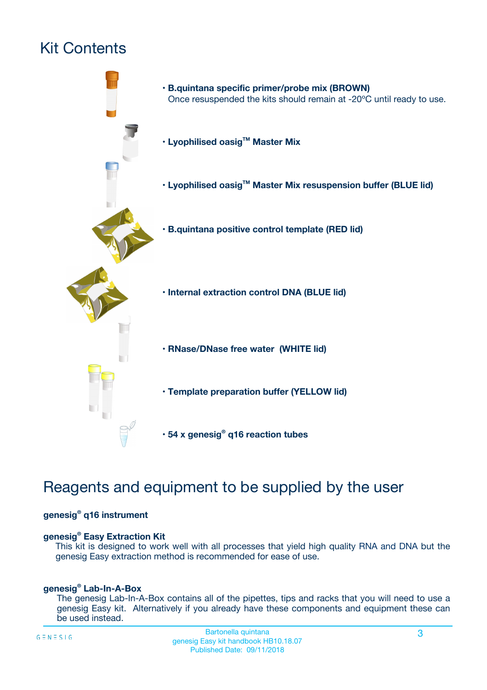# Kit Contents



## Reagents and equipment to be supplied by the user

#### **genesig® q16 instrument**

#### **genesig® Easy Extraction Kit**

This kit is designed to work well with all processes that yield high quality RNA and DNA but the genesig Easy extraction method is recommended for ease of use.

#### **genesig® Lab-In-A-Box**

The genesig Lab-In-A-Box contains all of the pipettes, tips and racks that you will need to use a genesig Easy kit. Alternatively if you already have these components and equipment these can be used instead.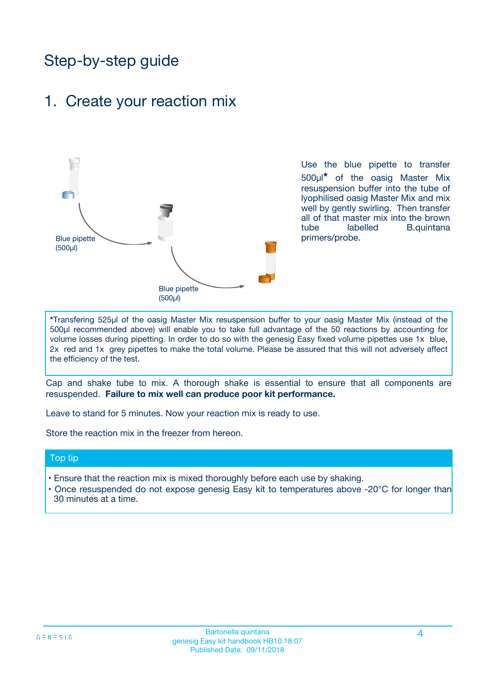## Step-by-step guide

### 1. Create your reaction mix



Use the blue pipette to transfer 500µl**\*** of the oasig Master Mix resuspension buffer into the tube of lyophilised oasig Master Mix and mix well by gently swirling. Then transfer all of that master mix into the brown tube labelled B.quintana primers/probe.

**\***Transfering 525µl of the oasig Master Mix resuspension buffer to your oasig Master Mix (instead of the 500µl recommended above) will enable you to take full advantage of the 50 reactions by accounting for volume losses during pipetting. In order to do so with the genesig Easy fixed volume pipettes use 1x blue, 2x red and 1x grey pipettes to make the total volume. Please be assured that this will not adversely affect the efficiency of the test.

Cap and shake tube to mix. A thorough shake is essential to ensure that all components are resuspended. **Failure to mix well can produce poor kit performance.**

Leave to stand for 5 minutes. Now your reaction mix is ready to use.

Store the reaction mix in the freezer from hereon.

#### Top tip

- Ensure that the reaction mix is mixed thoroughly before each use by shaking.
- **•** Once resuspended do not expose genesig Easy kit to temperatures above -20°C for longer than 30 minutes at a time.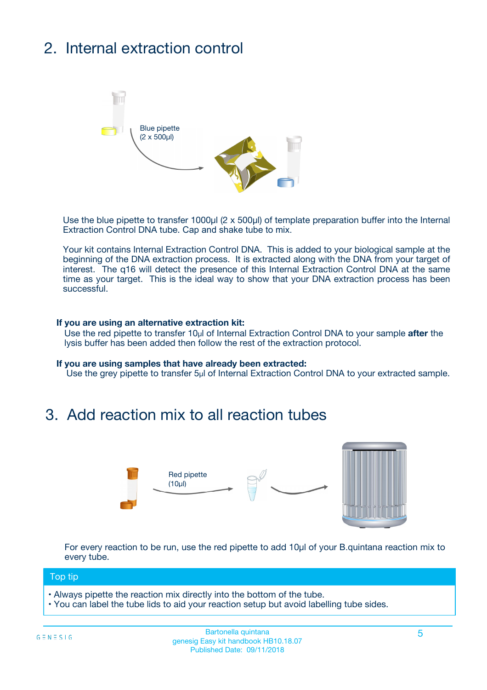# 2. Internal extraction control



Use the blue pipette to transfer 1000µl (2 x 500µl) of template preparation buffer into the Internal Extraction Control DNA tube. Cap and shake tube to mix.

Your kit contains Internal Extraction Control DNA. This is added to your biological sample at the beginning of the DNA extraction process. It is extracted along with the DNA from your target of interest. The q16 will detect the presence of this Internal Extraction Control DNA at the same time as your target. This is the ideal way to show that your DNA extraction process has been successful.

#### **If you are using an alternative extraction kit:**

Use the red pipette to transfer 10µl of Internal Extraction Control DNA to your sample **after** the lysis buffer has been added then follow the rest of the extraction protocol.

#### **If you are using samples that have already been extracted:**

Use the grey pipette to transfer 5µl of Internal Extraction Control DNA to your extracted sample.

### 3. Add reaction mix to all reaction tubes



For every reaction to be run, use the red pipette to add 10µl of your B.quintana reaction mix to every tube.

#### Top tip

- Always pipette the reaction mix directly into the bottom of the tube.
- You can label the tube lids to aid your reaction setup but avoid labelling tube sides.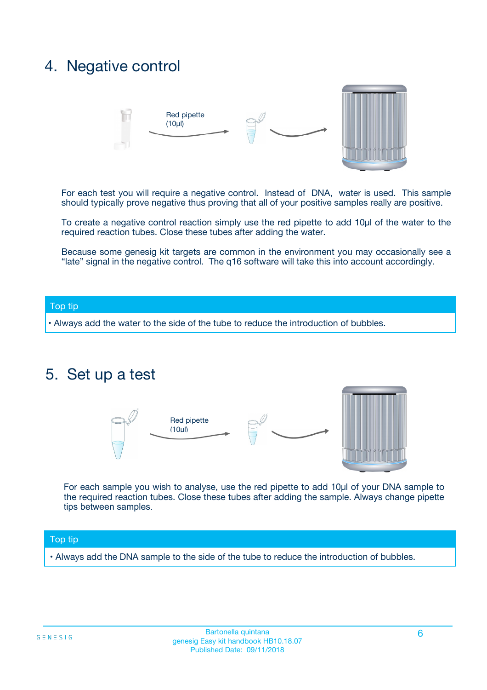## 4. Negative control



For each test you will require a negative control. Instead of DNA, water is used. This sample should typically prove negative thus proving that all of your positive samples really are positive.

To create a negative control reaction simply use the red pipette to add 10µl of the water to the required reaction tubes. Close these tubes after adding the water.

Because some genesig kit targets are common in the environment you may occasionally see a "late" signal in the negative control. The q16 software will take this into account accordingly.

#### Top tip

**•** Always add the water to the side of the tube to reduce the introduction of bubbles.

### 5. Set up a test



For each sample you wish to analyse, use the red pipette to add 10µl of your DNA sample to the required reaction tubes. Close these tubes after adding the sample. Always change pipette tips between samples.

#### Top tip

**•** Always add the DNA sample to the side of the tube to reduce the introduction of bubbles.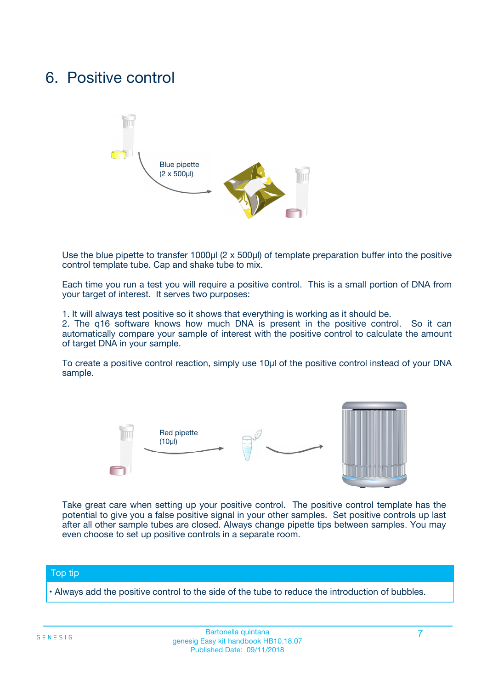## 6. Positive control



Use the blue pipette to transfer 1000µl (2 x 500µl) of template preparation buffer into the positive control template tube. Cap and shake tube to mix.

Each time you run a test you will require a positive control. This is a small portion of DNA from your target of interest. It serves two purposes:

1. It will always test positive so it shows that everything is working as it should be.

2. The q16 software knows how much DNA is present in the positive control. So it can automatically compare your sample of interest with the positive control to calculate the amount of target DNA in your sample.

To create a positive control reaction, simply use 10µl of the positive control instead of your DNA sample.



Take great care when setting up your positive control. The positive control template has the potential to give you a false positive signal in your other samples. Set positive controls up last after all other sample tubes are closed. Always change pipette tips between samples. You may even choose to set up positive controls in a separate room.

#### Top tip

**•** Always add the positive control to the side of the tube to reduce the introduction of bubbles.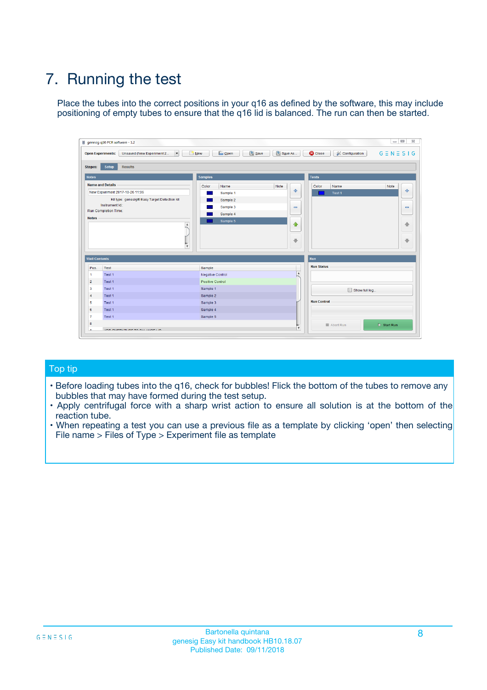# 7. Running the test

Place the tubes into the correct positions in your q16 as defined by the software, this may include positioning of empty tubes to ensure that the q16 lid is balanced. The run can then be started.

| genesig q16 PCR software - 1.2                                               |                                     | $\Box$                                                                                  |
|------------------------------------------------------------------------------|-------------------------------------|-----------------------------------------------------------------------------------------|
| Unsaved (New Experiment 2<br>$\vert \cdot \vert$<br><b>Open Experiments:</b> | <b>D</b> Open<br>Save<br>$\Box$ New | Save As<br><b>C</b> Close<br>$G \equiv N \equiv S \mid G$<br><b>&amp; Configuration</b> |
| Setup<br><b>Results</b><br><b>Stages:</b>                                    |                                     |                                                                                         |
| <b>Notes</b>                                                                 | Samples                             | <b>Tests</b>                                                                            |
| <b>Name and Details</b>                                                      | Color<br>Name                       | Note<br>Color<br>Note<br>Name                                                           |
| New Experiment 2017-10-26 11:06                                              | Sample 1                            | ع<br>条<br>Test 1                                                                        |
| Kit type: genesig® Easy Target Detection kit                                 | Sample 2                            |                                                                                         |
| Instrument Id.:                                                              | Sample 3                            | $\qquad \qquad \blacksquare$<br>$\qquad \qquad \blacksquare$                            |
| Run Completion Time:                                                         | Sample 4                            |                                                                                         |
| <b>Notes</b>                                                                 | Sample 5<br>A<br>v                  | $\triangle$<br>4<br>$\oplus$<br>₩                                                       |
| <b>Well Contents</b>                                                         |                                     | <b>Run</b>                                                                              |
| Pos.<br>Test                                                                 | Sample                              | <b>Run Status</b>                                                                       |
| Test 1<br>-1                                                                 | <b>Negative Control</b>             | $\blacktriangle$                                                                        |
| $\overline{2}$<br>Test 1                                                     | <b>Positive Control</b>             |                                                                                         |
| $\overline{\mathbf{3}}$<br>Test 1                                            | Sample 1                            | Show full log                                                                           |
| Test 1<br>$\overline{4}$                                                     | Sample 2                            |                                                                                         |
| 5<br>Test 1                                                                  | Sample 3                            | <b>Run Control</b>                                                                      |
| 6<br>Test 1                                                                  | Sample 4                            |                                                                                         |
| $\overline{7}$<br>Test 1                                                     | Sample 5                            |                                                                                         |
| 8                                                                            |                                     | $\triangleright$ Start Run<br>Abort Run                                                 |
| <b>JOD FURTY TUDE TO BUILDED IN</b>                                          |                                     | $\overline{\mathbf{v}}$                                                                 |

#### Top tip

- Before loading tubes into the q16, check for bubbles! Flick the bottom of the tubes to remove any bubbles that may have formed during the test setup.
- Apply centrifugal force with a sharp wrist action to ensure all solution is at the bottom of the reaction tube.
- When repeating a test you can use a previous file as a template by clicking 'open' then selecting File name > Files of Type > Experiment file as template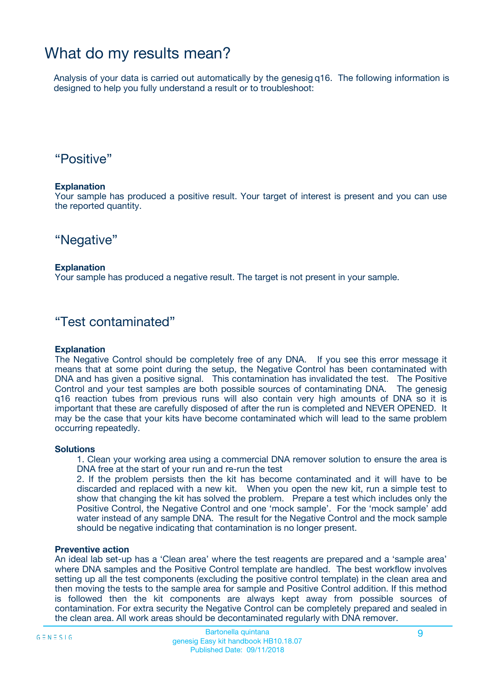## What do my results mean?

Analysis of your data is carried out automatically by the genesig q16. The following information is designed to help you fully understand a result or to troubleshoot:

### "Positive"

#### **Explanation**

Your sample has produced a positive result. Your target of interest is present and you can use the reported quantity.

"Negative"

#### **Explanation**

Your sample has produced a negative result. The target is not present in your sample.

### "Test contaminated"

#### **Explanation**

The Negative Control should be completely free of any DNA. If you see this error message it means that at some point during the setup, the Negative Control has been contaminated with DNA and has given a positive signal. This contamination has invalidated the test. The Positive Control and your test samples are both possible sources of contaminating DNA. The genesig q16 reaction tubes from previous runs will also contain very high amounts of DNA so it is important that these are carefully disposed of after the run is completed and NEVER OPENED. It may be the case that your kits have become contaminated which will lead to the same problem occurring repeatedly.

#### **Solutions**

1. Clean your working area using a commercial DNA remover solution to ensure the area is DNA free at the start of your run and re-run the test

2. If the problem persists then the kit has become contaminated and it will have to be discarded and replaced with a new kit. When you open the new kit, run a simple test to show that changing the kit has solved the problem. Prepare a test which includes only the Positive Control, the Negative Control and one 'mock sample'. For the 'mock sample' add water instead of any sample DNA. The result for the Negative Control and the mock sample should be negative indicating that contamination is no longer present.

#### **Preventive action**

An ideal lab set-up has a 'Clean area' where the test reagents are prepared and a 'sample area' where DNA samples and the Positive Control template are handled. The best workflow involves setting up all the test components (excluding the positive control template) in the clean area and then moving the tests to the sample area for sample and Positive Control addition. If this method is followed then the kit components are always kept away from possible sources of contamination. For extra security the Negative Control can be completely prepared and sealed in the clean area. All work areas should be decontaminated regularly with DNA remover.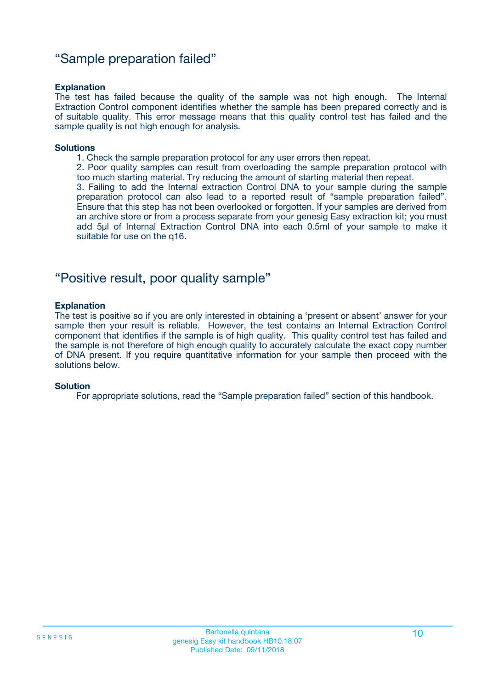### "Sample preparation failed"

#### **Explanation**

The test has failed because the quality of the sample was not high enough. The Internal Extraction Control component identifies whether the sample has been prepared correctly and is of suitable quality. This error message means that this quality control test has failed and the sample quality is not high enough for analysis.

#### **Solutions**

1. Check the sample preparation protocol for any user errors then repeat.

2. Poor quality samples can result from overloading the sample preparation protocol with too much starting material. Try reducing the amount of starting material then repeat.

3. Failing to add the Internal extraction Control DNA to your sample during the sample preparation protocol can also lead to a reported result of "sample preparation failed". Ensure that this step has not been overlooked or forgotten. If your samples are derived from an archive store or from a process separate from your genesig Easy extraction kit; you must add 5µl of Internal Extraction Control DNA into each 0.5ml of your sample to make it suitable for use on the q16.

### "Positive result, poor quality sample"

#### **Explanation**

The test is positive so if you are only interested in obtaining a 'present or absent' answer for your sample then your result is reliable. However, the test contains an Internal Extraction Control component that identifies if the sample is of high quality. This quality control test has failed and the sample is not therefore of high enough quality to accurately calculate the exact copy number of DNA present. If you require quantitative information for your sample then proceed with the solutions below.

#### **Solution**

For appropriate solutions, read the "Sample preparation failed" section of this handbook.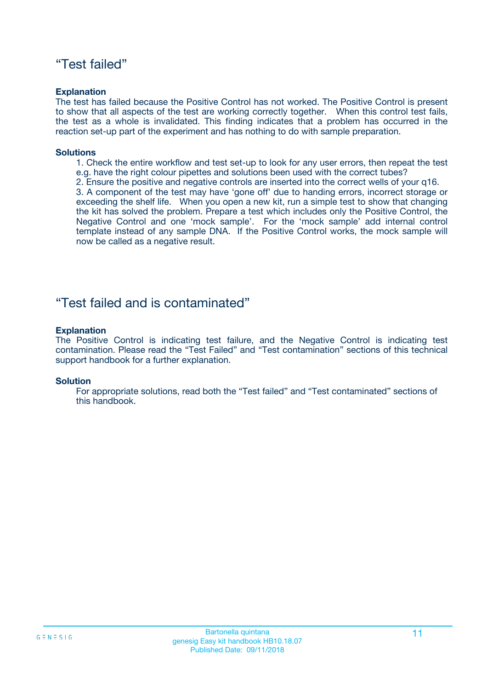### "Test failed"

#### **Explanation**

The test has failed because the Positive Control has not worked. The Positive Control is present to show that all aspects of the test are working correctly together. When this control test fails, the test as a whole is invalidated. This finding indicates that a problem has occurred in the reaction set-up part of the experiment and has nothing to do with sample preparation.

#### **Solutions**

- 1. Check the entire workflow and test set-up to look for any user errors, then repeat the test e.g. have the right colour pipettes and solutions been used with the correct tubes?
- 2. Ensure the positive and negative controls are inserted into the correct wells of your q16.

3. A component of the test may have 'gone off' due to handing errors, incorrect storage or exceeding the shelf life. When you open a new kit, run a simple test to show that changing the kit has solved the problem. Prepare a test which includes only the Positive Control, the Negative Control and one 'mock sample'. For the 'mock sample' add internal control template instead of any sample DNA. If the Positive Control works, the mock sample will now be called as a negative result.

### "Test failed and is contaminated"

#### **Explanation**

The Positive Control is indicating test failure, and the Negative Control is indicating test contamination. Please read the "Test Failed" and "Test contamination" sections of this technical support handbook for a further explanation.

#### **Solution**

For appropriate solutions, read both the "Test failed" and "Test contaminated" sections of this handbook.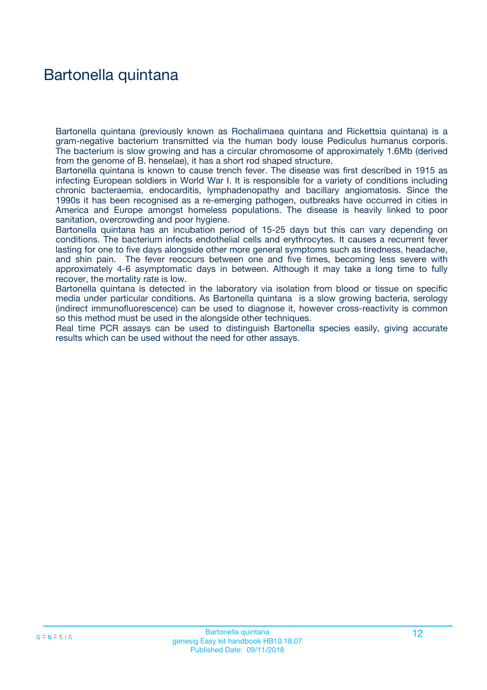## Bartonella quintana

Bartonella quintana (previously known as Rochalimaea quintana and Rickettsia quintana) is a gram-negative bacterium transmitted via the human body louse Pediculus humanus corporis. The bacterium is slow growing and has a circular chromosome of approximately 1.6Mb (derived from the genome of B. henselae), it has a short rod shaped structure.

Bartonella quintana is known to cause trench fever. The disease was first described in 1915 as infecting European soldiers in World War I. It is responsible for a variety of conditions including chronic bacteraemia, endocarditis, lymphadenopathy and bacillary angiomatosis. Since the 1990s it has been recognised as a re-emerging pathogen, outbreaks have occurred in cities in America and Europe amongst homeless populations. The disease is heavily linked to poor sanitation, overcrowding and poor hygiene.

Bartonella quintana has an incubation period of 15-25 days but this can vary depending on conditions. The bacterium infects endothelial cells and erythrocytes. It causes a recurrent fever lasting for one to five days alongside other more general symptoms such as tiredness, headache, and shin pain. The fever reoccurs between one and five times, becoming less severe with approximately 4-6 asymptomatic days in between. Although it may take a long time to fully recover, the mortality rate is low.

Bartonella quintana is detected in the laboratory via isolation from blood or tissue on specific media under particular conditions. As Bartonella quintana is a slow growing bacteria, serology (indirect immunofluorescence) can be used to diagnose it, however cross-reactivity is common so this method must be used in the alongside other techniques.

Real time PCR assays can be used to distinguish Bartonella species easily, giving accurate results which can be used without the need for other assays.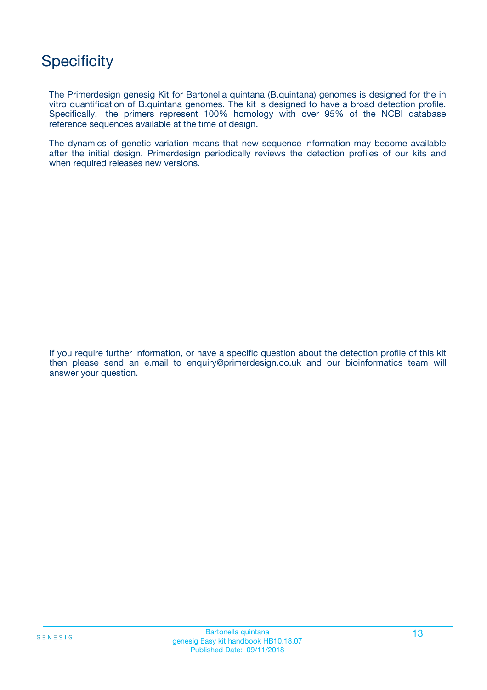## **Specificity**

The Primerdesign genesig Kit for Bartonella quintana (B.quintana) genomes is designed for the in vitro quantification of B.quintana genomes. The kit is designed to have a broad detection profile. Specifically, the primers represent 100% homology with over 95% of the NCBI database reference sequences available at the time of design.

The dynamics of genetic variation means that new sequence information may become available after the initial design. Primerdesign periodically reviews the detection profiles of our kits and when required releases new versions.

If you require further information, or have a specific question about the detection profile of this kit then please send an e.mail to enquiry@primerdesign.co.uk and our bioinformatics team will answer your question.